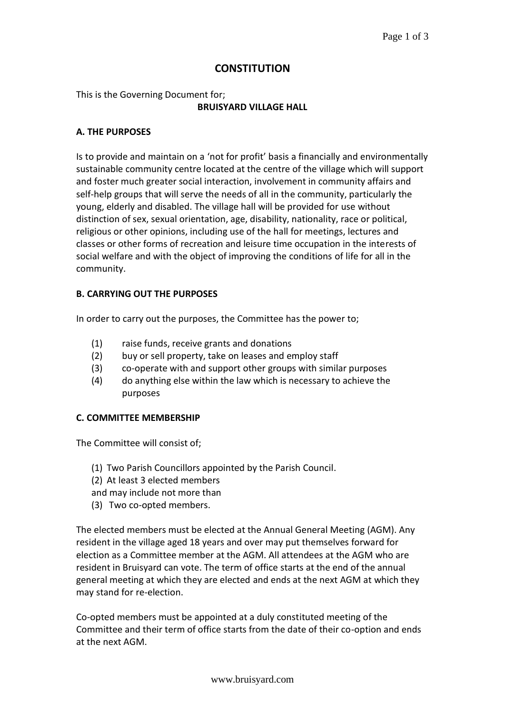# **CONSTITUTION**

This is the Governing Document for; **BRUISYARD VILLAGE HALL**

#### **A. THE PURPOSES**

Is to provide and maintain on a 'not for profit' basis a financially and environmentally sustainable community centre located at the centre of the village which will support and foster much greater social interaction, involvement in community affairs and self-help groups that will serve the needs of all in the community, particularly the young, elderly and disabled. The village hall will be provided for use without distinction of sex, sexual orientation, age, disability, nationality, race or political, religious or other opinions, including use of the hall for meetings, lectures and classes or other forms of recreation and leisure time occupation in the interests of social welfare and with the object of improving the conditions of life for all in the community.

## **B. CARRYING OUT THE PURPOSES**

In order to carry out the purposes, the Committee has the power to;

- (1) raise funds, receive grants and donations
- (2) buy or sell property, take on leases and employ staff
- (3) co-operate with and support other groups with similar purposes
- (4) do anything else within the law which is necessary to achieve the purposes

#### **C. COMMITTEE MEMBERSHIP**

The Committee will consist of;

- (1) Two Parish Councillors appointed by the Parish Council.
- (2) At least 3 elected members
- and may include not more than
- (3) Two co-opted members.

The elected members must be elected at the Annual General Meeting (AGM). Any resident in the village aged 18 years and over may put themselves forward for election as a Committee member at the AGM. All attendees at the AGM who are resident in Bruisyard can vote. The term of office starts at the end of the annual general meeting at which they are elected and ends at the next AGM at which they may stand for re-election.

Co-opted members must be appointed at a duly constituted meeting of the Committee and their term of office starts from the date of their co-option and ends at the next AGM.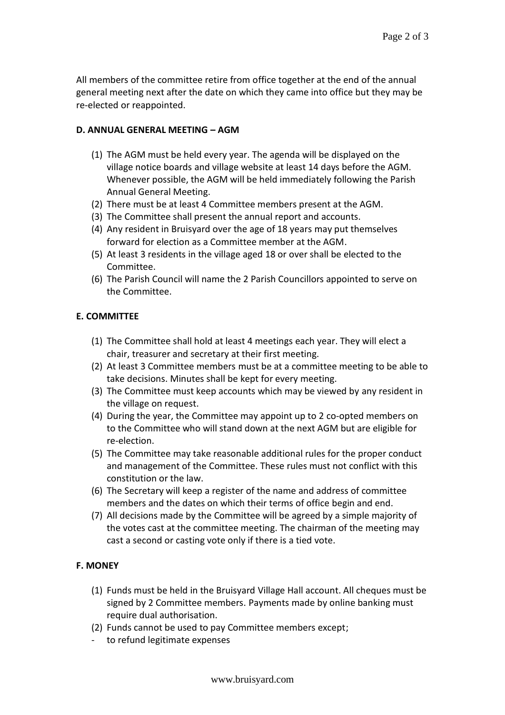All members of the committee retire from office together at the end of the annual general meeting next after the date on which they came into office but they may be re-elected or reappointed.

#### **D. ANNUAL GENERAL MEETING – AGM**

- (1) The AGM must be held every year. The agenda will be displayed on the village notice boards and village website at least 14 days before the AGM. Whenever possible, the AGM will be held immediately following the Parish Annual General Meeting.
- (2) There must be at least 4 Committee members present at the AGM.
- (3) The Committee shall present the annual report and accounts.
- (4) Any resident in Bruisyard over the age of 18 years may put themselves forward for election as a Committee member at the AGM.
- (5) At least 3 residents in the village aged 18 or over shall be elected to the Committee.
- (6) The Parish Council will name the 2 Parish Councillors appointed to serve on the Committee.

## **E. COMMITTEE**

- (1) The Committee shall hold at least 4 meetings each year. They will elect a chair, treasurer and secretary at their first meeting.
- (2) At least 3 Committee members must be at a committee meeting to be able to take decisions. Minutes shall be kept for every meeting.
- (3) The Committee must keep accounts which may be viewed by any resident in the village on request.
- (4) During the year, the Committee may appoint up to 2 co-opted members on to the Committee who will stand down at the next AGM but are eligible for re-election.
- (5) The Committee may take reasonable additional rules for the proper conduct and management of the Committee. These rules must not conflict with this constitution or the law.
- (6) The Secretary will keep a register of the name and address of committee members and the dates on which their terms of office begin and end.
- (7) All decisions made by the Committee will be agreed by a simple majority of the votes cast at the committee meeting. The chairman of the meeting may cast a second or casting vote only if there is a tied vote.

# **F. MONEY**

- (1) Funds must be held in the Bruisyard Village Hall account. All cheques must be signed by 2 Committee members. Payments made by online banking must require dual authorisation.
- (2) Funds cannot be used to pay Committee members except;
- to refund legitimate expenses